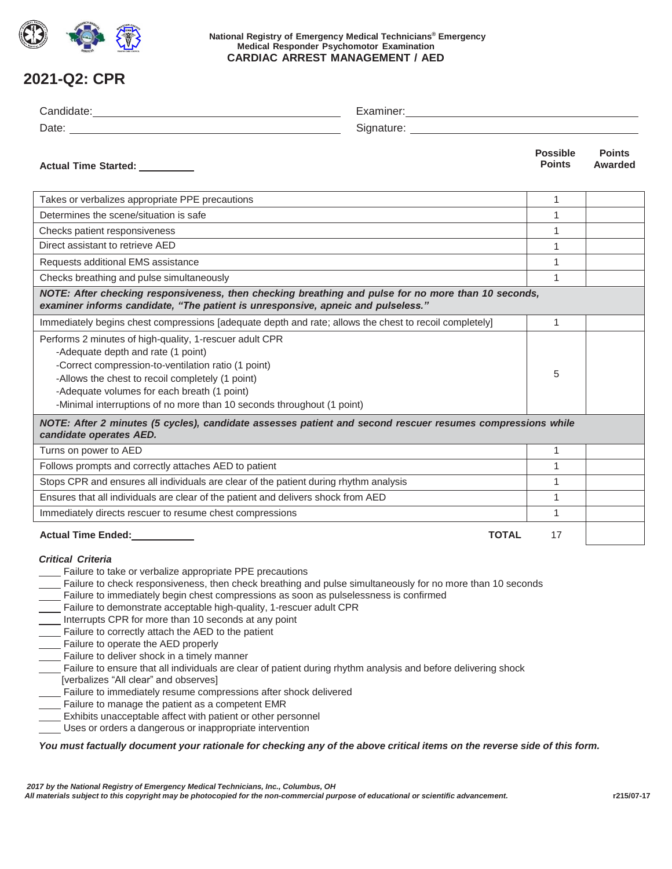

### **National Registry of Emergency Medical Technicians® Emergency Medical Responder Psychomotor Examination CARDIAC ARREST MANAGEMENT / AED**

# **2021-Q2: CPR**

| Actual Time Started: _________                                                                                                                                                                                                                                                                                                                                                                                                                                                                                                                                                                                                                                                                                                                                                                                                                                                                                                                                                                                                                                                                                     |              | <b>Possible</b><br><b>Points</b> | <b>Points</b><br>Awarded |  |
|--------------------------------------------------------------------------------------------------------------------------------------------------------------------------------------------------------------------------------------------------------------------------------------------------------------------------------------------------------------------------------------------------------------------------------------------------------------------------------------------------------------------------------------------------------------------------------------------------------------------------------------------------------------------------------------------------------------------------------------------------------------------------------------------------------------------------------------------------------------------------------------------------------------------------------------------------------------------------------------------------------------------------------------------------------------------------------------------------------------------|--------------|----------------------------------|--------------------------|--|
| Takes or verbalizes appropriate PPE precautions                                                                                                                                                                                                                                                                                                                                                                                                                                                                                                                                                                                                                                                                                                                                                                                                                                                                                                                                                                                                                                                                    |              | 1                                |                          |  |
| Determines the scene/situation is safe                                                                                                                                                                                                                                                                                                                                                                                                                                                                                                                                                                                                                                                                                                                                                                                                                                                                                                                                                                                                                                                                             |              | 1                                |                          |  |
| Checks patient responsiveness                                                                                                                                                                                                                                                                                                                                                                                                                                                                                                                                                                                                                                                                                                                                                                                                                                                                                                                                                                                                                                                                                      |              | 1                                |                          |  |
| Direct assistant to retrieve AED                                                                                                                                                                                                                                                                                                                                                                                                                                                                                                                                                                                                                                                                                                                                                                                                                                                                                                                                                                                                                                                                                   |              | 1                                |                          |  |
| Requests additional EMS assistance                                                                                                                                                                                                                                                                                                                                                                                                                                                                                                                                                                                                                                                                                                                                                                                                                                                                                                                                                                                                                                                                                 |              | 1                                |                          |  |
| Checks breathing and pulse simultaneously                                                                                                                                                                                                                                                                                                                                                                                                                                                                                                                                                                                                                                                                                                                                                                                                                                                                                                                                                                                                                                                                          |              | $\mathbf{1}$                     |                          |  |
| NOTE: After checking responsiveness, then checking breathing and pulse for no more than 10 seconds,<br>examiner informs candidate, "The patient is unresponsive, apneic and pulseless."                                                                                                                                                                                                                                                                                                                                                                                                                                                                                                                                                                                                                                                                                                                                                                                                                                                                                                                            |              |                                  |                          |  |
| Immediately begins chest compressions [adequate depth and rate; allows the chest to recoil completely]                                                                                                                                                                                                                                                                                                                                                                                                                                                                                                                                                                                                                                                                                                                                                                                                                                                                                                                                                                                                             |              | 1                                |                          |  |
| Performs 2 minutes of high-quality, 1-rescuer adult CPR<br>-Adequate depth and rate (1 point)<br>-Correct compression-to-ventilation ratio (1 point)<br>-Allows the chest to recoil completely (1 point)<br>-Adequate volumes for each breath (1 point)<br>-Minimal interruptions of no more than 10 seconds throughout (1 point)                                                                                                                                                                                                                                                                                                                                                                                                                                                                                                                                                                                                                                                                                                                                                                                  |              | 5                                |                          |  |
| NOTE: After 2 minutes (5 cycles), candidate assesses patient and second rescuer resumes compressions while<br>candidate operates AED.                                                                                                                                                                                                                                                                                                                                                                                                                                                                                                                                                                                                                                                                                                                                                                                                                                                                                                                                                                              |              |                                  |                          |  |
| Turns on power to AED                                                                                                                                                                                                                                                                                                                                                                                                                                                                                                                                                                                                                                                                                                                                                                                                                                                                                                                                                                                                                                                                                              |              | 1                                |                          |  |
| Follows prompts and correctly attaches AED to patient                                                                                                                                                                                                                                                                                                                                                                                                                                                                                                                                                                                                                                                                                                                                                                                                                                                                                                                                                                                                                                                              |              | 1                                |                          |  |
| Stops CPR and ensures all individuals are clear of the patient during rhythm analysis                                                                                                                                                                                                                                                                                                                                                                                                                                                                                                                                                                                                                                                                                                                                                                                                                                                                                                                                                                                                                              |              | 1                                |                          |  |
| Ensures that all individuals are clear of the patient and delivers shock from AED                                                                                                                                                                                                                                                                                                                                                                                                                                                                                                                                                                                                                                                                                                                                                                                                                                                                                                                                                                                                                                  |              | $\mathbf{1}$                     |                          |  |
| Immediately directs rescuer to resume chest compressions                                                                                                                                                                                                                                                                                                                                                                                                                                                                                                                                                                                                                                                                                                                                                                                                                                                                                                                                                                                                                                                           |              | 1                                |                          |  |
| Actual Time Ended:<br><u>Letteral</u>                                                                                                                                                                                                                                                                                                                                                                                                                                                                                                                                                                                                                                                                                                                                                                                                                                                                                                                                                                                                                                                                              | <b>TOTAL</b> | 17                               |                          |  |
| <b>Critical Criteria</b><br>Failure to take or verbalize appropriate PPE precautions<br>Failure to check responsiveness, then check breathing and pulse simultaneously for no more than 10 seconds<br>Failure to immediately begin chest compressions as soon as pulselessness is confirmed<br>Failure to demonstrate acceptable high-quality, 1-rescuer adult CPR<br>Interrupts CPR for more than 10 seconds at any point<br>Failure to correctly attach the AED to the patient<br>Failure to operate the AED properly<br>Failure to deliver shock in a timely manner<br>Failure to ensure that all individuals are clear of patient during rhythm analysis and before delivering shock<br>[verbalizes "All clear" and observes]<br>Failure to immediately resume compressions after shock delivered<br>Failure to manage the patient as a competent EMR<br>Exhibits unacceptable affect with patient or other personnel<br>Uses or orders a dangerous or inappropriate intervention<br>You must factually document your rationale for checking any of the above critical items on the reverse side of this form. |              |                                  |                          |  |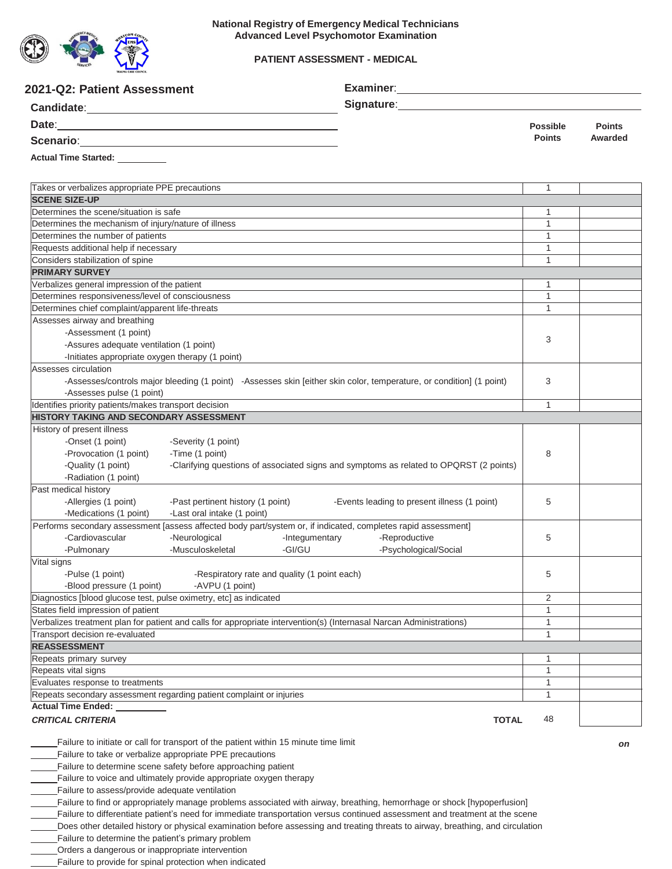

### **PATIENT ASSESSMENT - MEDICAL**

| 2021-Q2: Patient Assessment                                                                                             |                                                                                                           |                                              |                 |               |
|-------------------------------------------------------------------------------------------------------------------------|-----------------------------------------------------------------------------------------------------------|----------------------------------------------|-----------------|---------------|
|                                                                                                                         |                                                                                                           | Signature:                                   |                 |               |
|                                                                                                                         |                                                                                                           |                                              | <b>Possible</b> | <b>Points</b> |
| Scenario: 2008 - 2008 - 2010 - 2010 - 2010 - 2010 - 2010 - 2010 - 2010 - 2010 - 2010 - 2010 - 2010 - 2010 - 20          |                                                                                                           |                                              | <b>Points</b>   | Awarded       |
| <b>Actual Time Started:</b>                                                                                             |                                                                                                           |                                              |                 |               |
|                                                                                                                         |                                                                                                           |                                              |                 |               |
| Takes or verbalizes appropriate PPE precautions                                                                         |                                                                                                           |                                              | $\mathbf{1}$    |               |
| <b>SCENE SIZE-UP</b>                                                                                                    |                                                                                                           |                                              |                 |               |
| Determines the scene/situation is safe                                                                                  |                                                                                                           |                                              | 1               |               |
| Determines the mechanism of injury/nature of illness                                                                    |                                                                                                           | 1                                            |                 |               |
| Determines the number of patients                                                                                       |                                                                                                           | 1                                            |                 |               |
|                                                                                                                         | Requests additional help if necessary                                                                     |                                              | 1               |               |
| Considers stabilization of spine                                                                                        |                                                                                                           |                                              | 1               |               |
| <b>PRIMARY SURVEY</b>                                                                                                   |                                                                                                           |                                              |                 |               |
| Verbalizes general impression of the patient                                                                            |                                                                                                           | 1                                            |                 |               |
| Determines responsiveness/level of consciousness                                                                        |                                                                                                           |                                              | 1               |               |
| Determines chief complaint/apparent life-threats                                                                        |                                                                                                           |                                              | 1               |               |
| Assesses airway and breathing                                                                                           |                                                                                                           |                                              |                 |               |
| -Assessment (1 point)                                                                                                   |                                                                                                           |                                              | 3               |               |
|                                                                                                                         | -Assures adequate ventilation (1 point)                                                                   |                                              |                 |               |
| -Initiates appropriate oxygen therapy (1 point)                                                                         |                                                                                                           |                                              |                 |               |
| Assesses circulation                                                                                                    |                                                                                                           |                                              |                 |               |
| -Assesses/controls major bleeding (1 point) -Assesses skin [either skin color, temperature, or condition] (1 point)     |                                                                                                           | 3                                            |                 |               |
| -Assesses pulse (1 point)                                                                                               |                                                                                                           |                                              |                 |               |
| Identifies priority patients/makes transport decision<br>HISTORY TAKING AND SECONDARY ASSESSMENT                        |                                                                                                           |                                              | $\mathbf{1}$    |               |
|                                                                                                                         |                                                                                                           |                                              |                 |               |
| History of present illness                                                                                              |                                                                                                           |                                              |                 |               |
| -Onset (1 point)<br>-Severity (1 point)                                                                                 |                                                                                                           |                                              |                 |               |
| -Provocation (1 point)                                                                                                  | -Time (1 point)<br>-Clarifying questions of associated signs and symptoms as related to OPQRST (2 points) |                                              | 8               |               |
| -Quality (1 point)                                                                                                      |                                                                                                           |                                              |                 |               |
| -Radiation (1 point)<br>Past medical history                                                                            |                                                                                                           |                                              |                 |               |
| -Allergies (1 point)<br>-Past pertinent history (1 point)                                                               |                                                                                                           | -Events leading to present illness (1 point) | 5               |               |
| -Medications (1 point)<br>-Last oral intake (1 point)                                                                   |                                                                                                           |                                              |                 |               |
| Performs secondary assessment [assess affected body part/system or, if indicated, completes rapid assessment]           |                                                                                                           |                                              |                 |               |
| -Cardiovascular<br>-Neurological                                                                                        | -Integumentary                                                                                            | -Reproductive                                | 5               |               |
| -Musculoskeletal<br>-Pulmonary                                                                                          | -GI/GU                                                                                                    | -Psychological/Social                        |                 |               |
| Vital signs                                                                                                             |                                                                                                           |                                              |                 |               |
| -Pulse (1 point)                                                                                                        | -Respiratory rate and quality (1 point each)                                                              |                                              | 5               |               |
| -Blood pressure (1 point)<br>-AVPU (1 point)                                                                            |                                                                                                           |                                              |                 |               |
| Diagnostics [blood glucose test, pulse oximetry, etc] as indicated                                                      |                                                                                                           |                                              | $\overline{2}$  |               |
| States field impression of patient                                                                                      |                                                                                                           |                                              | 1               |               |
| Verbalizes treatment plan for patient and calls for appropriate intervention(s) (Internasal Narcan Administrations)     |                                                                                                           | $\mathbf{1}$                                 |                 |               |
| Transport decision re-evaluated                                                                                         |                                                                                                           |                                              | $\mathbf{1}$    |               |
| <b>REASSESSMENT</b>                                                                                                     |                                                                                                           |                                              |                 |               |
| Repeats primary survey                                                                                                  |                                                                                                           |                                              | 1               |               |
| Repeats vital signs                                                                                                     |                                                                                                           |                                              | 1               |               |
| Evaluates response to treatments                                                                                        |                                                                                                           |                                              | 1               |               |
| Repeats secondary assessment regarding patient complaint or injuries                                                    |                                                                                                           |                                              | 1               |               |
| <b>Actual Time Ended:</b>                                                                                               |                                                                                                           |                                              |                 |               |
| <b>CRITICAL CRITERIA</b>                                                                                                |                                                                                                           | <b>TOTAL</b>                                 | 48              |               |
|                                                                                                                         |                                                                                                           |                                              |                 |               |
| Failure to initiate or call for transport of the patient within 15 minute time limit                                    |                                                                                                           |                                              |                 | on            |
| Failure to take or verbalize appropriate PPE precautions                                                                |                                                                                                           |                                              |                 |               |
| Failure to determine scene safety before approaching patient                                                            |                                                                                                           |                                              |                 |               |
| Failure to voice and ultimately provide appropriate oxygen therapy                                                      |                                                                                                           |                                              |                 |               |
| Failure to assess/provide adequate ventilation                                                                          |                                                                                                           |                                              |                 |               |
| Failure to find or appropriately manage problems associated with airway, breathing, hemorrhage or shock [hypoperfusion] |                                                                                                           |                                              |                 |               |

Failure to differentiate patient's need for immediate transportation versus continued assessment and treatment at the scene

Does other detailed history or physical examination before assessing and treating threats to airway, breathing, and circulation

Failure to determine the patient's primary problem

Orders a dangerous or inappropriate intervention

Failure to provide for spinal protection when indicated